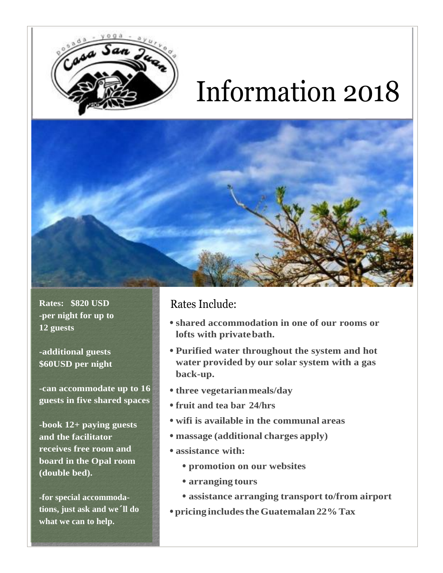

# Information 2018

**Rates: \$820 USD -per night for up to 12 guests**

**-additional guests \$60USD per night**

**-can accommodate up to 16 guests in five shared spaces**

**-book 12+ paying guests and the facilitator receives free room and board in the Opal room (double bed).** 

**-for special accommodations, just ask and we´ll do what we can to help.** 

#### Rates Include:

- **• shared accommodation in one of our rooms or lofts with privatebath.**
- **• Purified water throughout the system and hot water provided by our solar system with a gas back-up.**
- **• three vegetarianmeals/day**
- **• fruit and tea bar 24/hrs**
- **• wifi is available in the communal areas**
- **• massage (additional charges apply)**
- **• assistance with:**
	- **• promotion on our websites**
	- **• arranging tours**
	- **• assistance arranging transport to/from airport**
- **• pricing includestheGuatemalan 22%Tax**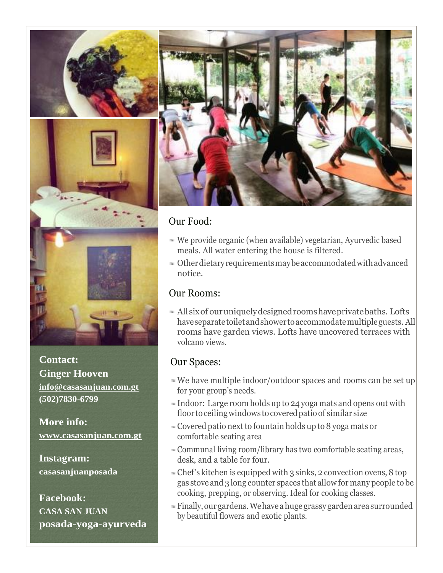



**Contact: Ginger Hooven [info@casasanjuan.com.gt](mailto:info@casasanjuan.com.gt) (502)7830-6799**

**More info: [www.casasanjuan.com.gt](http://www.casasanjuan.com.gt/)**

**Instagram: casasanjuanposada**

**Facebook: CASA SAN JUAN posada-yoga-ayurveda**



## Our Food:

- We provide organic (when available) vegetarian, Ayurvedic based meals. All water entering the house is filtered.
- Otherdietaryrequirementsmaybeaccommodatedwithadvanced notice.

## Our Rooms:

Allsixof ouruniquelydesignedroomshaveprivatebaths. Lofts have separate toilet and shower to accommodate multiple guests. All rooms have garden views. Lofts have uncovered terraces with volcano views.

## Our Spaces:

- We have multiple indoor/outdoor spaces and rooms can be set up for your group's needs.
- Indoor: Large room holds up to 24 yoga mats and opens out with floor to ceiling windows to covered patio of similar size
- Covered patio nextto fountain holds up to 8 yoga mats or comfortable seating area
- Communal living room/library has two comfortable seating areas, desk, and a table for four.
- Chef's kitchen is equipped with 3 sinks, 2 convection ovens, 8 top gas stove and 3 long counter spaces that allow for many people to be cooking, prepping, or observing. Ideal for cooking classes.
- Finally,our gardens.Wehaveahuge grassy gardenarea surrounded by beautiful flowers and exotic plants.